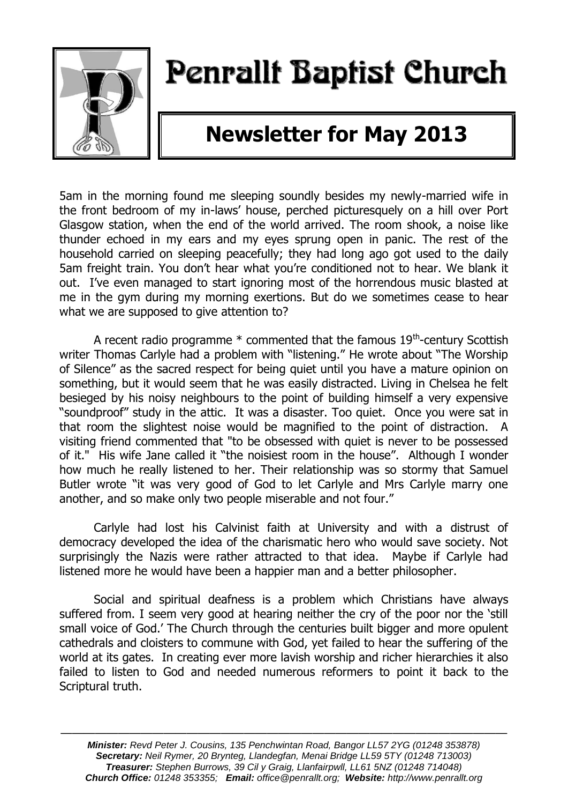

# Penrallt Baptist Church

## **Newsletter for May 2013**

5am in the morning found me sleeping soundly besides my newly-married wife in the front bedroom of my in-laws' house, perched picturesquely on a hill over Port Glasgow station, when the end of the world arrived. The room shook, a noise like thunder echoed in my ears and my eyes sprung open in panic. The rest of the household carried on sleeping peacefully; they had long ago got used to the daily 5am freight train. You don't hear what you're conditioned not to hear. We blank it out. I've even managed to start ignoring most of the horrendous music blasted at me in the gym during my morning exertions. But do we sometimes cease to hear what we are supposed to give attention to?

A recent radio programme  $*$  commented that the famous 19<sup>th</sup>-century Scottish writer Thomas Carlyle had a problem with "listening." He wrote about "The Worship of Silence" as the sacred respect for being quiet until you have a mature opinion on something, but it would seem that he was easily distracted. Living in Chelsea he felt besieged by his noisy neighbours to the point of building himself a very expensive "soundproof" study in the attic. It was a disaster. Too quiet. Once you were sat in that room the slightest noise would be magnified to the point of distraction. A visiting friend commented that "to be obsessed with quiet is never to be possessed of it." His wife Jane called it "the noisiest room in the house". Although I wonder how much he really listened to her. Their relationship was so stormy that Samuel Butler wrote "it was very good of God to let Carlyle and Mrs Carlyle marry one another, and so make only two people miserable and not four."

Carlyle had lost his Calvinist faith at University and with a distrust of democracy developed the idea of the charismatic hero who would save society. Not surprisingly the Nazis were rather attracted to that idea. Maybe if Carlyle had listened more he would have been a happier man and a better philosopher.

Social and spiritual deafness is a problem which Christians have always suffered from. I seem very good at hearing neither the cry of the poor nor the 'still small voice of God.' The Church through the centuries built bigger and more opulent cathedrals and cloisters to commune with God, yet failed to hear the suffering of the world at its gates. In creating ever more lavish worship and richer hierarchies it also failed to listen to God and needed numerous reformers to point it back to the Scriptural truth.

———————————————————————————————————————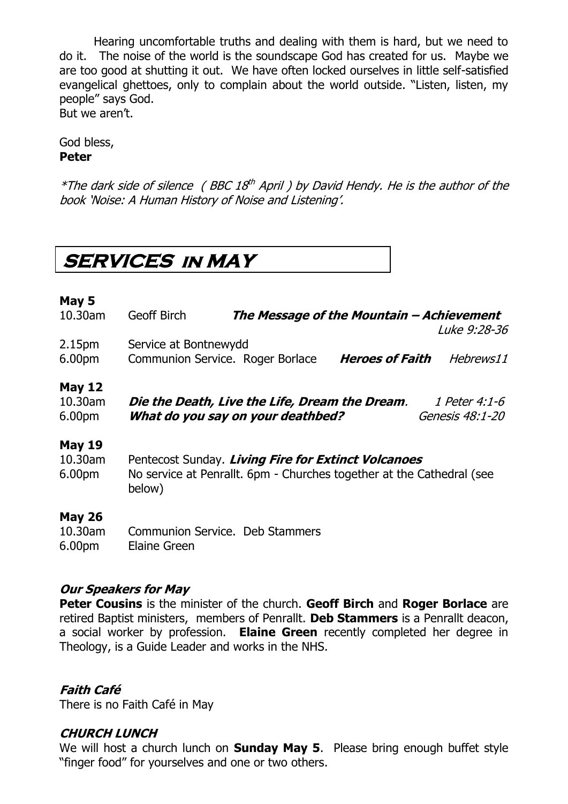Hearing uncomfortable truths and dealing with them is hard, but we need to do it. The noise of the world is the soundscape God has created for us. Maybe we are too good at shutting it out. We have often locked ourselves in little self-satisfied evangelical ghettoes, only to complain about the world outside. "Listen, listen, my people" says God. But we aren't.

God bless,

## **Peter**

 $*$ The dark side of silence ( BBC 18th April ) by David Hendy. He is the author of the book 'Noise: A Human History of Noise and Listening'.

## **SERVICES in MAY**

## **May 5**

| 10.30am                                        | Geoff Birch           |                                                                                                                              | The Message of the Mountain - Achievement | Luke 9:28-36                     |
|------------------------------------------------|-----------------------|------------------------------------------------------------------------------------------------------------------------------|-------------------------------------------|----------------------------------|
| 2.15pm<br>6.00pm                               | Service at Bontnewydd | Communion Service. Roger Borlace                                                                                             | <b>Heroes of Faith</b>                    | Hebrews11                        |
| <b>May 12</b><br>10.30am<br>6.00 <sub>pm</sub> |                       | Die the Death, Live the Life, Dream the Dream.<br>What do you say on your deathbed?                                          |                                           | 1 Peter 4:1-6<br>Genesis 48:1-20 |
| <b>May 19</b><br>10.30am<br>6.00pm             | below)                | Pentecost Sunday. Living Fire for Extinct Volcanoes<br>No service at Penrallt. 6pm - Churches together at the Cathedral (see |                                           |                                  |
| <b>May 26</b>                                  |                       |                                                                                                                              |                                           |                                  |

10.30am Communion Service. Deb Stammers 6.00pm Elaine Green

## **Our Speakers for May**

**Peter Cousins** is the minister of the church. **Geoff Birch** and **Roger Borlace** are retired Baptist ministers, members of Penrallt. **Deb Stammers** is a Penrallt deacon, a social worker by profession. **Elaine Green** recently completed her degree in Theology, is a Guide Leader and works in the NHS.

## **Faith Café**

There is no Faith Café in May

## **CHURCH LUNCH**

We will host a church lunch on **Sunday May 5**. Please bring enough buffet style "finger food" for yourselves and one or two others.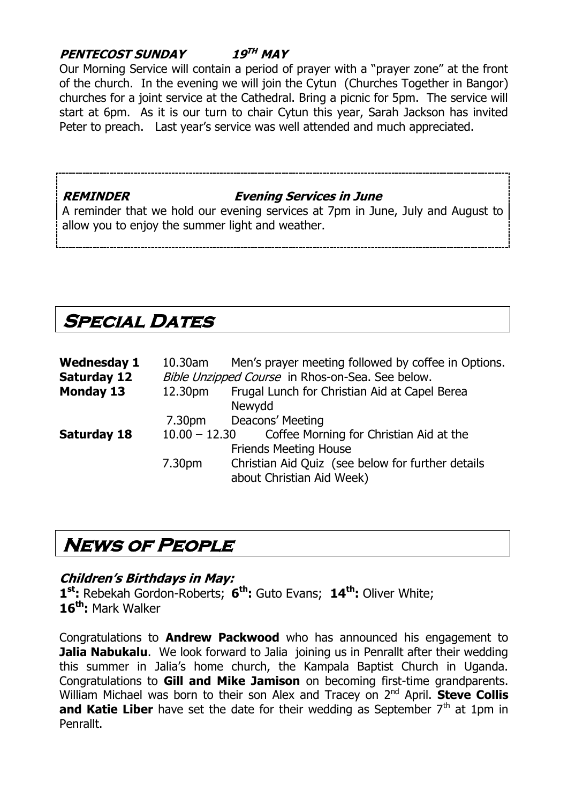#### **PENTECOST SUNDAY**  $19^{TH}$  **MAY**

Our Morning Service will contain a period of prayer with a "prayer zone" at the front of the church. In the evening we will join the Cytun (Churches Together in Bangor) churches for a joint service at the Cathedral. Bring a picnic for 5pm. The service will start at 6pm. As it is our turn to chair Cytun this year, Sarah Jackson has invited Peter to preach. Last year's service was well attended and much appreciated.

## **REMINDER Evening Services in June**

A reminder that we hold our evening services at 7pm in June, July and August to allow you to enjoy the summer light and weather.

## **Special Dates**

| <b>Wednesday 1</b><br><b>Saturday 12</b> | 10.30am            | Men's prayer meeting followed by coffee in Options.<br>Bible Unzipped Course in Rhos-on-Sea. See below. |
|------------------------------------------|--------------------|---------------------------------------------------------------------------------------------------------|
| <b>Monday 13</b>                         | 12.30pm            | Frugal Lunch for Christian Aid at Capel Berea<br>Newydd                                                 |
|                                          | 7.30 <sub>pm</sub> | Deacons' Meeting                                                                                        |
| <b>Saturday 18</b>                       | $10.00 - 12.30$    | Coffee Morning for Christian Aid at the<br><b>Friends Meeting House</b>                                 |
|                                          | 7.30 <sub>pm</sub> | Christian Aid Quiz (see below for further details<br>about Christian Aid Week)                          |

## **News of People**

## **Children's Birthdays in May:**

**1 st:** Rebekah Gordon-Roberts; **6 th:** Guto Evans; **14th:** Oliver White; **16th:** Mark Walker

Congratulations to **Andrew Packwood** who has announced his engagement to **Jalia Nabukalu.** We look forward to Jalia joining us in Penrallt after their wedding this summer in Jalia's home church, the Kampala Baptist Church in Uganda. Congratulations to **Gill and Mike Jamison** on becoming first-time grandparents. William Michael was born to their son Alex and Tracey on 2<sup>nd</sup> April. **Steve Collis and Katie Liber** have set the date for their wedding as September 7<sup>th</sup> at 1pm in Penrallt.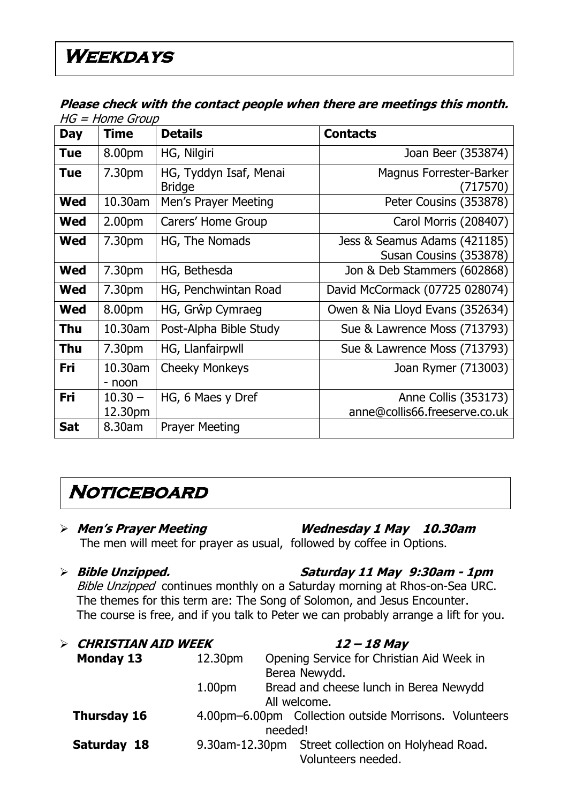## **Please check with the contact people when there are meetings this month.**   $HG = Home$  Group

| <b>Day</b> | $\mu$ שט זט סווטו – טו<br><b>Time</b> | <b>Details</b>                          | <b>Contacts</b>                                        |
|------------|---------------------------------------|-----------------------------------------|--------------------------------------------------------|
| <b>Tue</b> | 8.00pm                                | HG, Nilgiri                             | Joan Beer (353874)                                     |
| <b>Tue</b> | 7.30pm                                | HG, Tyddyn Isaf, Menai<br><b>Bridge</b> | Magnus Forrester-Barker<br>(717570)                    |
| <b>Wed</b> | 10.30am                               | Men's Prayer Meeting                    | Peter Cousins (353878)                                 |
| <b>Wed</b> | 2.00pm                                | Carers' Home Group                      | Carol Morris (208407)                                  |
| <b>Wed</b> | 7.30pm                                | HG, The Nomads                          | Jess & Seamus Adams (421185)<br>Susan Cousins (353878) |
| Wed        | 7.30pm                                | HG, Bethesda                            | Jon & Deb Stammers (602868)                            |
| <b>Wed</b> | 7.30pm                                | HG, Penchwintan Road                    | David McCormack (07725 028074)                         |
| Wed        | 8.00pm                                | HG, Grŵp Cymraeg                        | Owen & Nia Lloyd Evans (352634)                        |
| <b>Thu</b> | 10.30am                               | Post-Alpha Bible Study                  | Sue & Lawrence Moss (713793)                           |
| Thu        | 7.30pm                                | HG, Llanfairpwll                        | Sue & Lawrence Moss (713793)                           |
| Fri        | 10.30am<br>- noon                     | <b>Cheeky Monkeys</b>                   | Joan Rymer (713003)                                    |
| Fri        | $10.30 -$<br>12.30pm                  | HG, 6 Maes y Dref                       | Anne Collis (353173)<br>anne@collis66.freeserve.co.uk  |
| <b>Sat</b> | 8.30am                                | <b>Prayer Meeting</b>                   |                                                        |

## **Noticeboard**

## **Men's Prayer Meeting Wednesday 1 May 10.30am**

- The men will meet for prayer as usual, followed by coffee in Options.
- 

Bible Unzipped continues monthly on a Saturday morning at Rhos-on-Sea URC. The themes for this term are: The Song of Solomon, and Jesus Encounter. The course is free, and if you talk to Peter we can probably arrange a lift for you.

| $\blacktriangleright$ | <b>CHRISTIAN AID WEEK</b> |                    | $12 - 18$ May                                          |  |
|-----------------------|---------------------------|--------------------|--------------------------------------------------------|--|
|                       | <b>Monday 13</b>          | 12.30pm            | Opening Service for Christian Aid Week in              |  |
|                       |                           |                    | Berea Newydd.                                          |  |
|                       |                           | 1.00 <sub>pm</sub> | Bread and cheese lunch in Berea Newydd                 |  |
|                       |                           | All welcome.       |                                                        |  |
|                       | <b>Thursday 16</b>        |                    | 4.00pm-6.00pm Collection outside Morrisons. Volunteers |  |
|                       |                           |                    | needed!                                                |  |
|                       | Saturday 18               |                    | 9.30am-12.30pm Street collection on Holyhead Road.     |  |
|                       |                           |                    | Volunteers needed.                                     |  |

## **Bible Unzipped. Saturday 11 May 9:30am - 1pm**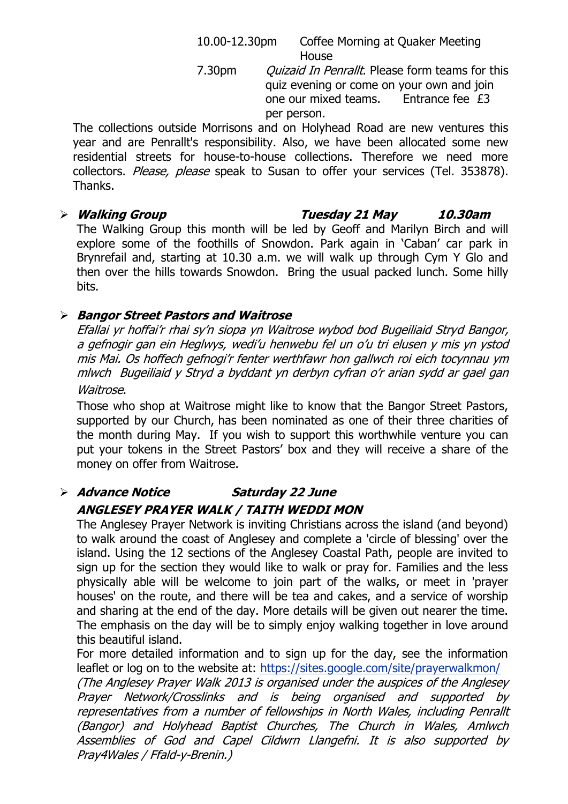10.00-12.30pm Coffee Morning at Quaker Meeting **House** 

7.30pm Ouizaid In Penrallt. Please form teams for this quiz evening or come on your own and join one our mixed teams. Entrance fee £3 per person.

The collections outside Morrisons and on Holyhead Road are new ventures this year and are Penrallt's responsibility. Also, we have been allocated some new residential streets for house-to-house collections. Therefore we need more collectors. Please, please speak to Susan to offer your services (Tel. 353878). Thanks.

## **Walking Group Tuesday 21 May 10.30am**

The Walking Group this month will be led by Geoff and Marilyn Birch and will explore some of the foothills of Snowdon. Park again in 'Caban' car park in Brynrefail and, starting at 10.30 a.m. we will walk up through Cym Y Glo and then over the hills towards Snowdon. Bring the usual packed lunch. Some hilly bits.

## **Bangor Street Pastors and Waitrose**

Efallai yr hoffai'r rhai sy'n siopa yn Waitrose wybod bod Bugeiliaid Stryd Bangor, a gefnogir gan ein Heglwys, wedi'u henwebu fel un o'u tri elusen y mis yn ystod mis Mai. Os hoffech gefnogi'r fenter werthfawr hon gallwch roi eich tocynnau ym mlwch Bugeiliaid y Stryd a byddant yn derbyn cyfran o'r arian sydd ar gael gan Waitrose.

Those who shop at Waitrose might like to know that the Bangor Street Pastors, supported by our Church, has been nominated as one of their three charities of the month during May. If you wish to support this worthwhile venture you can put your tokens in the Street Pastors' box and they will receive a share of the money on offer from Waitrose.

## **Advance Notice Saturday 22 June ANGLESEY PRAYER WALK / TAITH WEDDI MON**

The Anglesey Prayer Network is inviting Christians across the island (and beyond) to walk around the coast of Anglesey and complete a 'circle of blessing' over the island. Using the 12 sections of the Anglesey Coastal Path, people are invited to sign up for the section they would like to walk or pray for. Families and the less physically able will be welcome to join part of the walks, or meet in 'prayer houses' on the route, and there will be tea and cakes, and a service of worship and sharing at the end of the day. More details will be given out nearer the time. The emphasis on the day will be to simply enjoy walking together in love around this beautiful island.

For more detailed information and to sign up for the day, see the information leaflet or log on to the website at:<https://sites.google.com/site/prayerwalkmon/>

(The Anglesey Prayer Walk 2013 is organised under the auspices of the Anglesey Prayer Network/Crosslinks and is being organised and supported by representatives from a number of fellowships in North Wales, including Penrallt (Bangor) and Holyhead Baptist Churches, The Church in Wales, Amlwch Assemblies of God and Capel Cildwrn Llangefni. It is also supported by Pray4Wales / Ffald-y-Brenin.)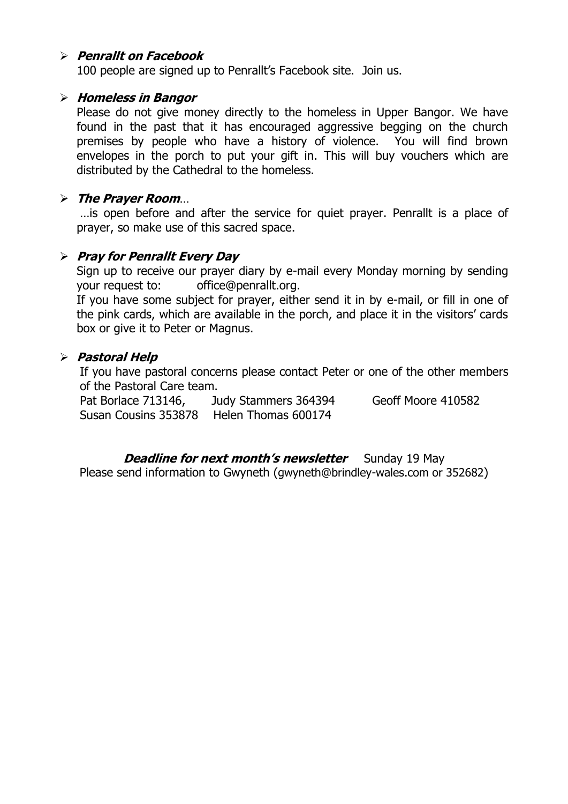### **Penrallt on Facebook**

100 people are signed up to Penrallt's Facebook site. Join us.

### **Homeless in Bangor**

Please do not give money directly to the homeless in Upper Bangor. We have found in the past that it has encouraged aggressive begging on the church premises by people who have a history of violence. You will find brown envelopes in the porch to put your gift in. This will buy vouchers which are distributed by the Cathedral to the homeless.

### **The Prayer Room**…

…is open before and after the service for quiet prayer. Penrallt is a place of prayer, so make use of this sacred space.

### **Pray for Penrallt Every Day**

Sign up to receive our prayer diary by e-mail every Monday morning by sending your request to: [office@penrallt.org.](mailto:office@penrallt.org)

If you have some subject for prayer, either send it in by e-mail, or fill in one of the pink cards, which are available in the porch, and place it in the visitors' cards box or give it to Peter or Magnus.

### **Pastoral Help**

If you have pastoral concerns please contact Peter or one of the other members of the Pastoral Care team.

Pat Borlace 713146, Judy Stammers 364394 Geoff Moore 410582 Susan Cousins 353878 Helen Thomas 600174

## **Deadline for next month's newsletter** Sunday 19 May

Please send information to Gwyneth ([gwyneth@brindley-wales.com](mailto:gwyneth@brindley-wales.com) or 352682)